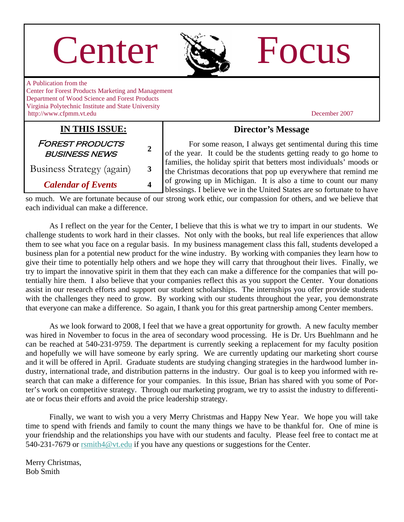| Center                                                                                                                                                                                                                   |                  |                                                                                                                                                                                                                                                                                                                                                                                                                                                                                                                                                                                                                                                  | Focus         |
|--------------------------------------------------------------------------------------------------------------------------------------------------------------------------------------------------------------------------|------------------|--------------------------------------------------------------------------------------------------------------------------------------------------------------------------------------------------------------------------------------------------------------------------------------------------------------------------------------------------------------------------------------------------------------------------------------------------------------------------------------------------------------------------------------------------------------------------------------------------------------------------------------------------|---------------|
| A Publication from the<br><b>Center for Forest Products Marketing and Management</b><br>Department of Wood Science and Forest Products<br>Virginia Polytechnic Institute and State University<br>http://www.cfpmm.vt.edu |                  |                                                                                                                                                                                                                                                                                                                                                                                                                                                                                                                                                                                                                                                  | December 2007 |
| IN THIS ISSUE:                                                                                                                                                                                                           |                  | <b>Director's Message</b>                                                                                                                                                                                                                                                                                                                                                                                                                                                                                                                                                                                                                        |               |
| <b>FOREST PRODUCTS</b><br><b>BUSINESS NEWS</b>                                                                                                                                                                           | $\boldsymbol{2}$ | For some reason, I always get sentimental during this time<br>of the year. It could be the students getting ready to go home to<br>families, the holiday spirit that betters most individuals' moods or<br>the Christmas decorations that pop up everywhere that remind me<br>of growing up in Michigan. It is also a time to count our many<br>$\mathbf{r}$ and $\mathbf{r}$ and $\mathbf{r}$ and $\mathbf{r}$ and $\mathbf{r}$ and $\mathbf{r}$ and $\mathbf{r}$ and $\mathbf{r}$ and $\mathbf{r}$ and $\mathbf{r}$ and $\mathbf{r}$ and $\mathbf{r}$ and $\mathbf{r}$ and $\mathbf{r}$ and $\mathbf{r}$ and $\mathbf{r}$ and $\mathbf{r}$ and |               |
| Business Strategy (again)                                                                                                                                                                                                | 3                |                                                                                                                                                                                                                                                                                                                                                                                                                                                                                                                                                                                                                                                  |               |
| <b>Calendar of Events</b>                                                                                                                                                                                                | 4                |                                                                                                                                                                                                                                                                                                                                                                                                                                                                                                                                                                                                                                                  |               |

blessings. I believe we in the United States are so fortunate to have so much. We are fortunate because of our strong work ethic, our compassion for others, and we believe that each individual can make a difference.

 As I reflect on the year for the Center, I believe that this is what we try to impart in our students. We challenge students to work hard in their classes. Not only with the books, but real life experiences that allow them to see what you face on a regular basis. In my business management class this fall, students developed a business plan for a potential new product for the wine industry. By working with companies they learn how to give their time to potentially help others and we hope they will carry that throughout their lives. Finally, we try to impart the innovative spirit in them that they each can make a difference for the companies that will potentially hire them. I also believe that your companies reflect this as you support the Center. Your donations assist in our research efforts and support our student scholarships. The internships you offer provide students with the challenges they need to grow. By working with our students throughout the year, you demonstrate that everyone can make a difference. So again, I thank you for this great partnership among Center members.

 As we look forward to 2008, I feel that we have a great opportunity for growth. A new faculty member was hired in November to focus in the area of secondary wood processing. He is Dr. Urs Buehlmann and he can be reached at 540-231-9759. The department is currently seeking a replacement for my faculty position and hopefully we will have someone by early spring. We are currently updating our marketing short course and it will be offered in April. Graduate students are studying changing strategies in the hardwood lumber industry, international trade, and distribution patterns in the industry. Our goal is to keep you informed with research that can make a difference for your companies. In this issue, Brian has shared with you some of Porter's work on competitive strategy. Through our marketing program, we try to assist the industry to differentiate or focus their efforts and avoid the price leadership strategy.

 Finally, we want to wish you a very Merry Christmas and Happy New Year. We hope you will take time to spend with friends and family to count the many things we have to be thankful for. One of mine is your friendship and the relationships you have with our students and faculty. Please feel free to contact me at 540-231-7679 or [rsmith4@vt.edu](mailto:rsmith4@vt.edu) if you have any questions or suggestions for the Center.

Merry Christmas, Bob Smith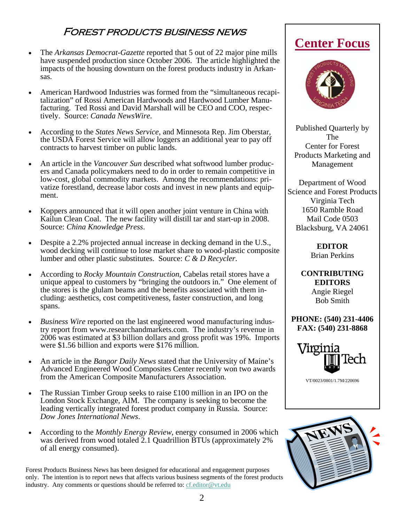### Forest products business news

- The *Arkansas Democrat-Gazette* reported that 5 out of 22 major pine mills have suspended production since October 2006. The article highlighted the impacts of the housing downturn on the forest products industry in Arkansas.
- American Hardwood Industries was formed from the "simultaneous recapitalization" of Rossi American Hardwoods and Hardwood Lumber Manufacturing. Ted Rossi and David Marshall will be CEO and COO, respectively. Source: *Canada NewsWire*.
- According to the *States News Service*, and Minnesota Rep. Jim Oberstar, the USDA Forest Service will allow loggers an additional year to pay off contracts to harvest timber on public lands.
- An article in the *Vancouver Sun* described what softwood lumber producers and Canada policymakers need to do in order to remain competitive in low-cost, global commodity markets. Among the recommendations: privatize forestland, decrease labor costs and invest in new plants and equipment.
- Koppers announced that it will open another joint venture in China with Kailun Clean Coal. The new facility will distill tar and start-up in 2008. Source: *China Knowledge Press*.
- Despite a 2.2% projected annual increase in decking demand in the U.S., wood decking will continue to lose market share to wood-plastic composite lumber and other plastic substitutes. Source: *C & D Recycler*.
- According to *Rocky Mountain Construction*, Cabelas retail stores have a unique appeal to customers by "bringing the outdoors in." One element of the stores is the glulam beams and the benefits associated with them including: aesthetics, cost competitiveness, faster construction, and long spans.
- *Business Wire* reported on the last engineered wood manufacturing industry report from www.researchandmarkets.com. The industry's revenue in 2006 was estimated at \$3 billion dollars and gross profit was 19%. Imports were \$1.56 billion and exports were \$176 million.
- An article in the *Bangor Daily News* stated that the University of Maine's Advanced Engineered Wood Composites Center recently won two awards from the American Composite Manufacturers Association.
- The Russian Timber Group seeks to raise £100 million in an IPO on the London Stock Exchange, AIM. The company is seeking to become the leading vertically integrated forest product company in Russia. Source: *Dow Jones International News*.
- According to the *Monthly Energy Review*, energy consumed in 2006 which was derived from wood totaled 2.1 Quadrillion BTUs (approximately 2% of all energy consumed).

Forest Products Business News has been designed for educational and engagement purposes only. The intention is to report news that affects various business segments of the forest products industry. Any comments or questions should be referred to: [cf.editor@vt.edu](mailto:cf.editor@vt.edu?subject=Center%20Focus%20Comment)

## **Center Focus**



Published Quarterly by The Center for Forest Products Marketing and Management

Department of Wood Science and Forest Products Virginia Tech 1650 Ramble Road Mail Code 0503 Blacksburg, VA 24061

> **EDITOR**  Brian Perkins

**CONTRIBUTING EDITORS**  Angie Riegel Bob Smith

**PHONE: (540) 231-4406 FAX: (540) 231-8868** 



VT/0023/0801/1.7M/220696

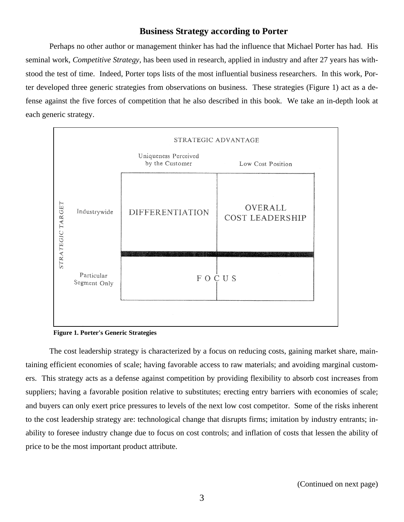#### **Business Strategy according to Porter**

Perhaps no other author or management thinker has had the influence that Michael Porter has had. His seminal work, *Competitive Strategy,* has been used in research, applied in industry and after 27 years has withstood the test of time. Indeed, Porter tops lists of the most influential business researchers. In this work, Porter developed three generic strategies from observations on business. These strategies (Figure 1) act as a defense against the five forces of competition that he also described in this book. We take an in-depth look at each generic strategy.



**Figure 1. Porter's Generic Strategies** 

The cost leadership strategy is characterized by a focus on reducing costs, gaining market share, maintaining efficient economies of scale; having favorable access to raw materials; and avoiding marginal customers. This strategy acts as a defense against competition by providing flexibility to absorb cost increases from suppliers; having a favorable position relative to substitutes; erecting entry barriers with economies of scale; and buyers can only exert price pressures to levels of the next low cost competitor. Some of the risks inherent to the cost leadership strategy are: technological change that disrupts firms; imitation by industry entrants; inability to foresee industry change due to focus on cost controls; and inflation of costs that lessen the ability of price to be the most important product attribute.